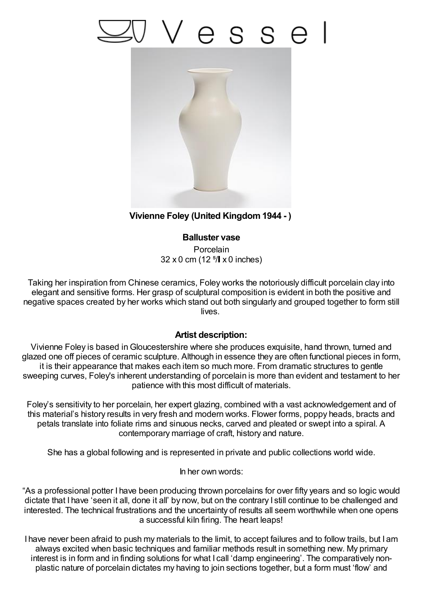## Vesse



## **Vivienne Foley (United Kingdom1944 - )**

**Balluster vase Porcelain**  $32 \times 0$  cm (12  $^{5}/\sqrt{ } \times 0$  inches)

Taking her inspiration from Chinese ceramics, Foley works the notoriously difficult porcelain clay into elegant and sensitive forms. Her grasp of sculptural composition is evident in both the positive and negative spaces created by her works which stand out both singularly and grouped together to form still lives.

## **Artist description:**

Vivienne Foley is based inGloucestershire where she produces exquisite, hand thrown, turned and glazed one off pieces of ceramic sculpture. Although in essence they are often functional pieces in form, it is their appearance that makes each item so much more. From dramatic structures to gentle sweeping curves, Foley's inherent understanding of porcelain is more than evident and testament to her patience with this most difficult of materials.

Foley's sensitivity to her porcelain, her expert glazing, combined with a vast acknowledgement and of this material's history results in very fresh and modern works. Flower forms, poppy heads, bracts and petals translate into foliate rims and sinuous necks, carved and pleated or swept into a spiral. A contemporary marriage of craft, history and nature.

She has a global following and is represented in private and public collections world wide.

In her own words:

"As a professional potter I have been producing thrown porcelains for over fifty years and so logic would dictate that I have 'seen it all, done it all' by now, but on the contrary I still continue to be challenged and interested. The technical frustrations and the uncertainty of results all seem worthwhile when one opens a successful kiln firing. The heart leaps!

I have never been afraid to push my materials to the limit, to accept failures and to follow trails, but I am always excited when basic techniques and familiar methods result in something new. My primary interest is in form and in finding solutions for what I call 'damp engineering'. The comparatively nonplastic nature of porcelain dictates my having to join sections together, but a form must 'flow' and